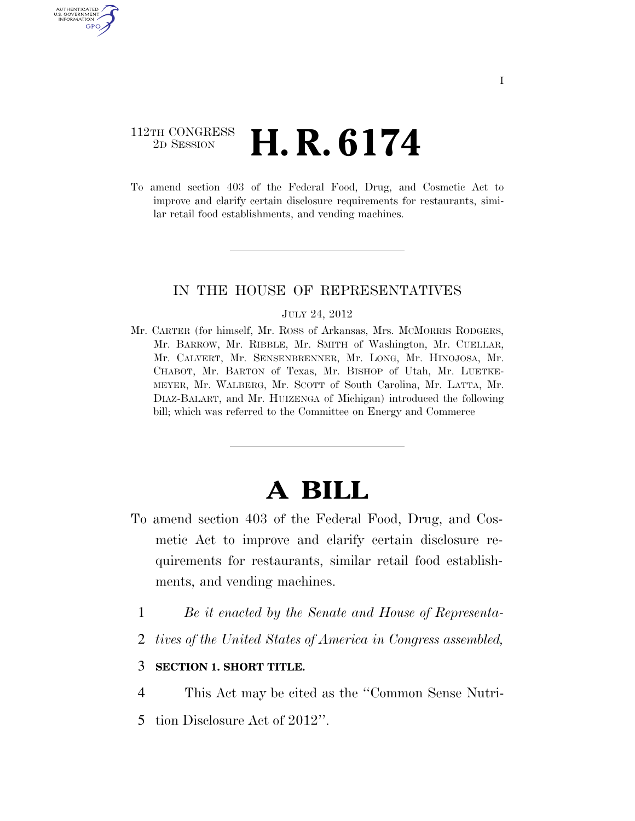# 112TH CONGRESS <sup>2D SESSION</sup> **H. R. 6174**

U.S. GOVERNMENT GPO

> To amend section 403 of the Federal Food, Drug, and Cosmetic Act to improve and clarify certain disclosure requirements for restaurants, similar retail food establishments, and vending machines.

## IN THE HOUSE OF REPRESENTATIVES

#### JULY 24, 2012

Mr. CARTER (for himself, Mr. ROSS of Arkansas, Mrs. MCMORRIS RODGERS, Mr. BARROW, Mr. RIBBLE, Mr. SMITH of Washington, Mr. CUELLAR, Mr. CALVERT, Mr. SENSENBRENNER, Mr. LONG, Mr. HINOJOSA, Mr. CHABOT, Mr. BARTON of Texas, Mr. BISHOP of Utah, Mr. LUETKE-MEYER, Mr. WALBERG, Mr. SCOTT of South Carolina, Mr. LATTA, Mr. DIAZ-BALART, and Mr. HUIZENGA of Michigan) introduced the following bill; which was referred to the Committee on Energy and Commerce

# **A BILL**

- To amend section 403 of the Federal Food, Drug, and Cosmetic Act to improve and clarify certain disclosure requirements for restaurants, similar retail food establishments, and vending machines.
	- 1 *Be it enacted by the Senate and House of Representa-*
	- 2 *tives of the United States of America in Congress assembled,*

### 3 **SECTION 1. SHORT TITLE.**

- 4 This Act may be cited as the ''Common Sense Nutri-
- 5 tion Disclosure Act of 2012''.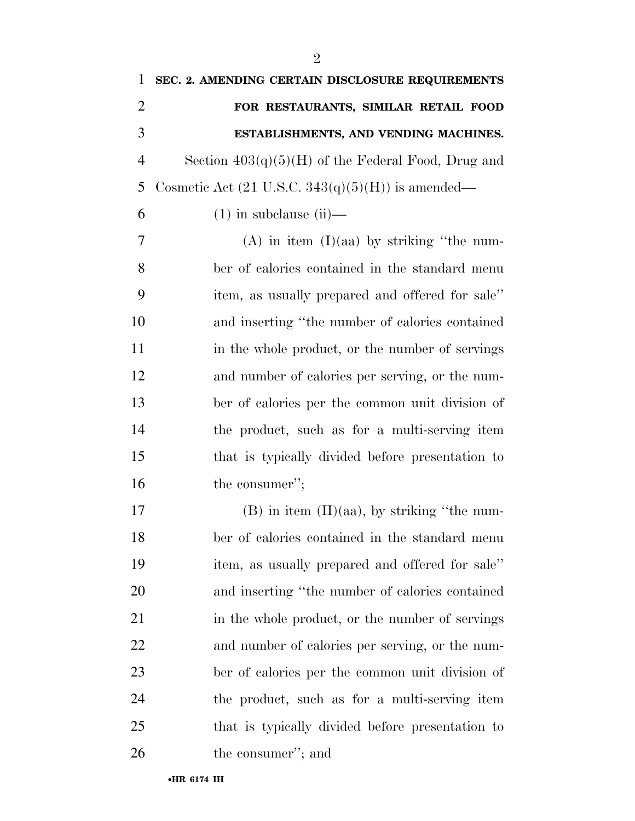| 1              | SEC. 2. AMENDING CERTAIN DISCLOSURE REQUIREMENTS             |
|----------------|--------------------------------------------------------------|
| $\overline{2}$ | FOR RESTAURANTS, SIMILAR RETAIL FOOD                         |
| 3              | ESTABLISHMENTS, AND VENDING MACHINES.                        |
| $\overline{4}$ | Section $403(q)(5)(H)$ of the Federal Food, Drug and         |
| 5              | Cosmetic Act $(21 \text{ U.S.C. } 343(q)(5)(H))$ is amended— |
| 6              | $(1)$ in subclause $(ii)$ —                                  |
| 7              | $(A)$ in item $(I)(aa)$ by striking "the num-                |
| 8              | ber of calories contained in the standard menu               |
| 9              | item, as usually prepared and offered for sale"              |
| 10             | and inserting "the number of calories contained              |
| 11             | in the whole product, or the number of servings              |
| 12             | and number of calories per serving, or the num-              |
| 13             | ber of calories per the common unit division of              |
| 14             | the product, such as for a multi-serving item                |
| 15             | that is typically divided before presentation to             |
| 16             | the consumer";                                               |
| 17             | $(B)$ in item $(II)(aa)$ , by striking "the num-             |
| 18             | ber of calories contained in the standard menu               |
| 19             | item, as usually prepared and offered for sale"              |
| 20             | and inserting "the number of calories contained              |
| 21             | in the whole product, or the number of servings              |
| 22             | and number of calories per serving, or the num-              |
| 23             | ber of calories per the common unit division of              |
| 24             | the product, such as for a multi-serving item                |
| 25             | that is typically divided before presentation to             |
| 26             | the consumer"; and                                           |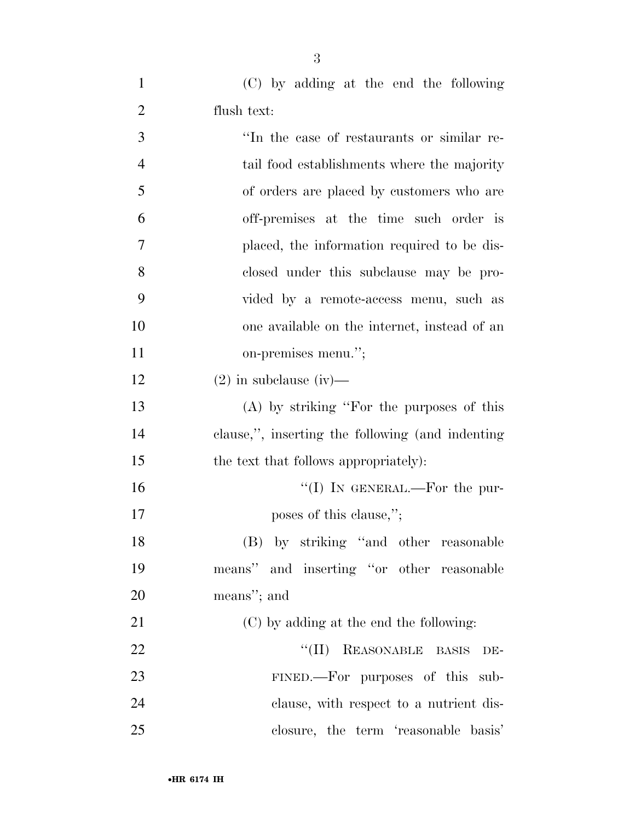| $\mathbf{1}$   | (C) by adding at the end the following           |
|----------------|--------------------------------------------------|
| $\overline{2}$ | flush text:                                      |
| 3              | "In the case of restaurants or similar re-       |
| $\overline{4}$ | tail food establishments where the majority      |
| 5              | of orders are placed by customers who are        |
| 6              | off-premises at the time such order is           |
| 7              | placed, the information required to be dis-      |
| 8              | closed under this subclause may be pro-          |
| 9              | vided by a remote-access menu, such as           |
| 10             | one available on the internet, instead of an     |
| 11             | on-premises menu.";                              |
| 12             | $(2)$ in subclause (iv)—                         |
| 13             | $(A)$ by striking "For the purposes of this      |
| 14             | clause,", inserting the following (and indenting |
| 15             | the text that follows appropriately):            |
| 16             | "(I) IN GENERAL.—For the pur-                    |
| 17             | poses of this clause,";                          |
| 18             | (B) by striking "and other reasonable            |
| 19             | means" and inserting "or other reasonable        |
| 20             | means"; and                                      |
| 21             | (C) by adding at the end the following:          |
| 22             | REASONABLE BASIS<br>$``(\Pi)$<br>DE-             |
| 23             | FINED.—For purposes of this sub-                 |
| 24             | clause, with respect to a nutrient dis-          |
| 25             | closure, the term 'reasonable basis'             |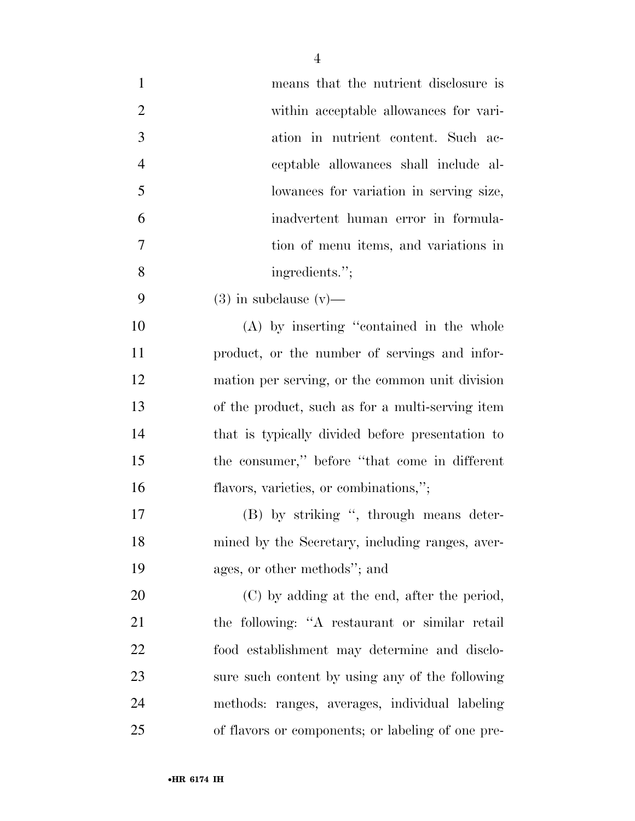| $\mathbf{1}$   | means that the nutrient disclosure is             |
|----------------|---------------------------------------------------|
| $\overline{2}$ | within acceptable allowances for vari-            |
| 3              | ation in nutrient content. Such ac-               |
| $\overline{4}$ | ceptable allowances shall include al-             |
| 5              | lowances for variation in serving size,           |
| 6              | inadvertent human error in formula-               |
| 7              | tion of menu items, and variations in             |
| 8              | ingredients.";                                    |
| 9              | $(3)$ in subclause $(v)$ —                        |
| 10             | (A) by inserting "contained in the whole          |
| 11             | product, or the number of servings and infor-     |
| 12             | mation per serving, or the common unit division   |
| 13             | of the product, such as for a multi-serving item  |
| 14             | that is typically divided before presentation to  |
| 15             | the consumer," before "that come in different     |
| 16             | flavors, varieties, or combinations,";            |
| 17             | (B) by striking ", through means deter-           |
| 18             | mined by the Secretary, including ranges, aver-   |
| 19             | ages, or other methods"; and                      |
| 20             | (C) by adding at the end, after the period,       |
| 21             | the following: "A restaurant or similar retail    |
| 22             | food establishment may determine and disclo-      |
| 23             | sure such content by using any of the following   |
| 24             | methods: ranges, averages, individual labeling    |
| 25             | of flavors or components; or labeling of one pre- |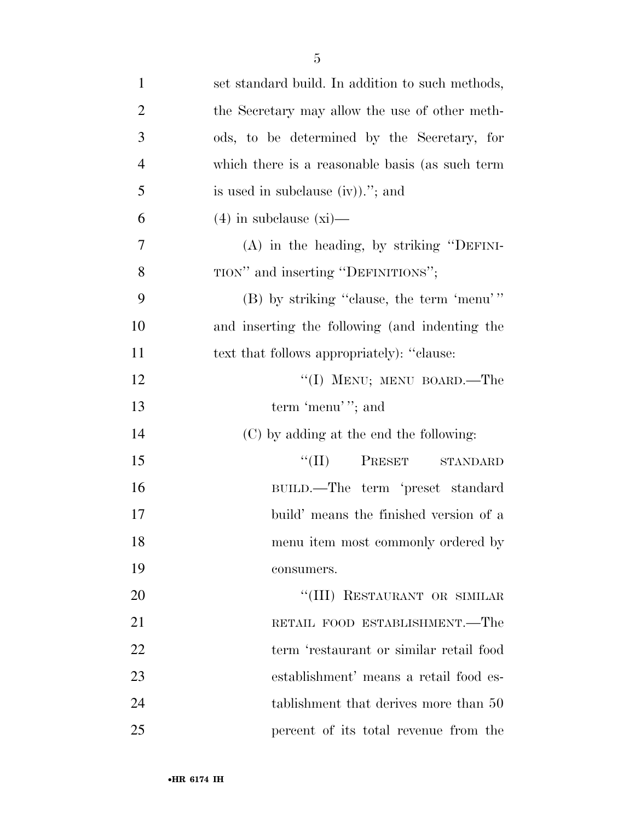| $\mathbf{1}$   | set standard build. In addition to such methods, |
|----------------|--------------------------------------------------|
| $\overline{2}$ | the Secretary may allow the use of other meth-   |
| 3              | ods, to be determined by the Secretary, for      |
| $\overline{4}$ | which there is a reasonable basis (as such term  |
| 5              | is used in subclause $(iv)$ ."; and              |
| 6              | $(4)$ in subclause $(xi)$ —                      |
| 7              | $(A)$ in the heading, by striking "DEFINI-       |
| 8              | TION" and inserting "DEFINITIONS";               |
| 9              | (B) by striking "clause, the term 'menu'"        |
| 10             | and inserting the following (and indenting the   |
| 11             | text that follows appropriately): "clause:       |
| 12             | "(I) MENU; MENU BOARD.—The                       |
| 13             | term 'menu''; and                                |
| 14             | (C) by adding at the end the following:          |
| 15             | $``(II)$ PRESET<br>STANDARD                      |
| 16             | BUILD.—The term 'preset standard                 |
| 17             | build' means the finished version of a           |
| 18             | menu item most commonly ordered by               |
| 19             | consumers.                                       |
| 20             | "(III) RESTAURANT OR SIMILAR                     |
| 21             | RETAIL FOOD ESTABLISHMENT.—The                   |
| 22             | term 'restaurant or similar retail food          |
| 23             | establishment' means a retail food es-           |
| 24             | tablishment that derives more than 50            |
| 25             | percent of its total revenue from the            |